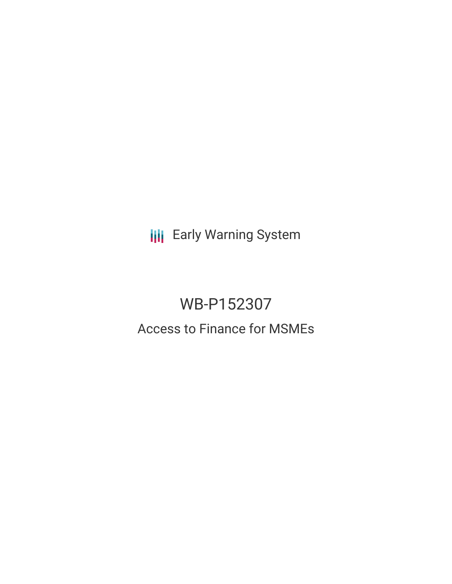**III** Early Warning System

# WB-P152307

## Access to Finance for MSMEs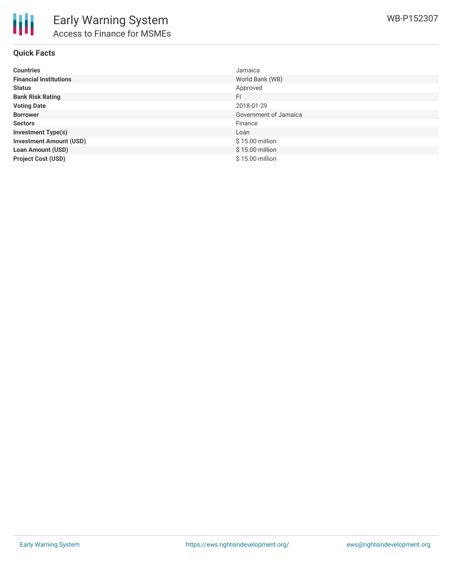

#### **Quick Facts**

| <b>Countries</b>               | Jamaica               |
|--------------------------------|-----------------------|
| <b>Financial Institutions</b>  | World Bank (WB)       |
| <b>Status</b>                  | Approved              |
| <b>Bank Risk Rating</b>        | FI                    |
| <b>Voting Date</b>             | 2018-01-29            |
| <b>Borrower</b>                | Government of Jamaica |
| <b>Sectors</b>                 | Finance               |
| <b>Investment Type(s)</b>      | Loan                  |
| <b>Investment Amount (USD)</b> | $$15.00$ million      |
| <b>Loan Amount (USD)</b>       | \$15.00 million       |
| <b>Project Cost (USD)</b>      | \$15.00 million       |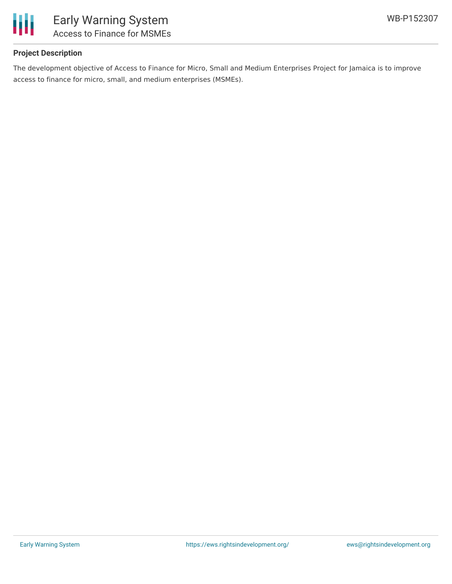

### **Project Description**

The development objective of Access to Finance for Micro, Small and Medium Enterprises Project for Jamaica is to improve access to finance for micro, small, and medium enterprises (MSMEs).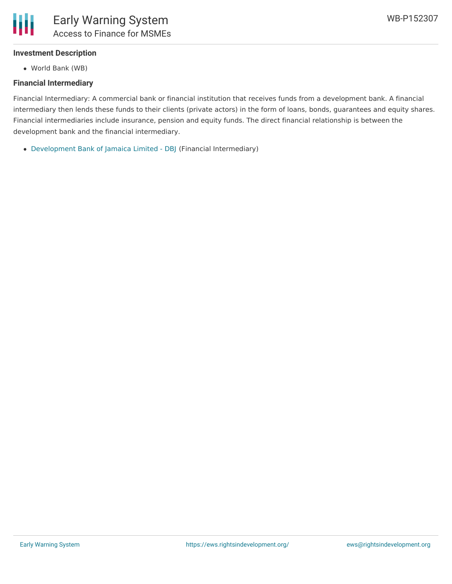#### **Investment Description**

World Bank (WB)

#### **Financial Intermediary**

Financial Intermediary: A commercial bank or financial institution that receives funds from a development bank. A financial intermediary then lends these funds to their clients (private actors) in the form of loans, bonds, guarantees and equity shares. Financial intermediaries include insurance, pension and equity funds. The direct financial relationship is between the development bank and the financial intermediary.

[Development](file:///actor/386/) Bank of Jamaica Limited - DBJ (Financial Intermediary)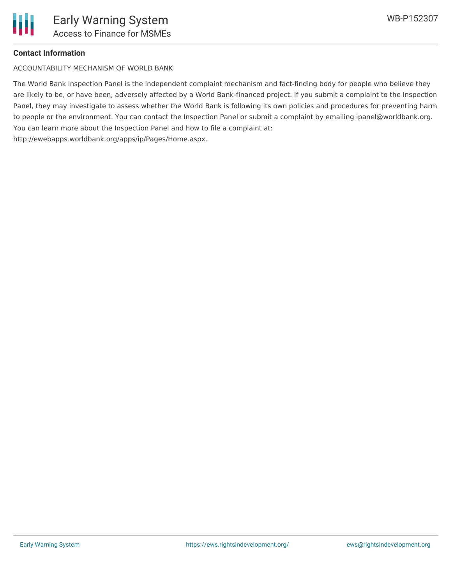

#### **Contact Information**

ACCOUNTABILITY MECHANISM OF WORLD BANK

The World Bank Inspection Panel is the independent complaint mechanism and fact-finding body for people who believe they are likely to be, or have been, adversely affected by a World Bank-financed project. If you submit a complaint to the Inspection Panel, they may investigate to assess whether the World Bank is following its own policies and procedures for preventing harm to people or the environment. You can contact the Inspection Panel or submit a complaint by emailing ipanel@worldbank.org. You can learn more about the Inspection Panel and how to file a complaint at: http://ewebapps.worldbank.org/apps/ip/Pages/Home.aspx.